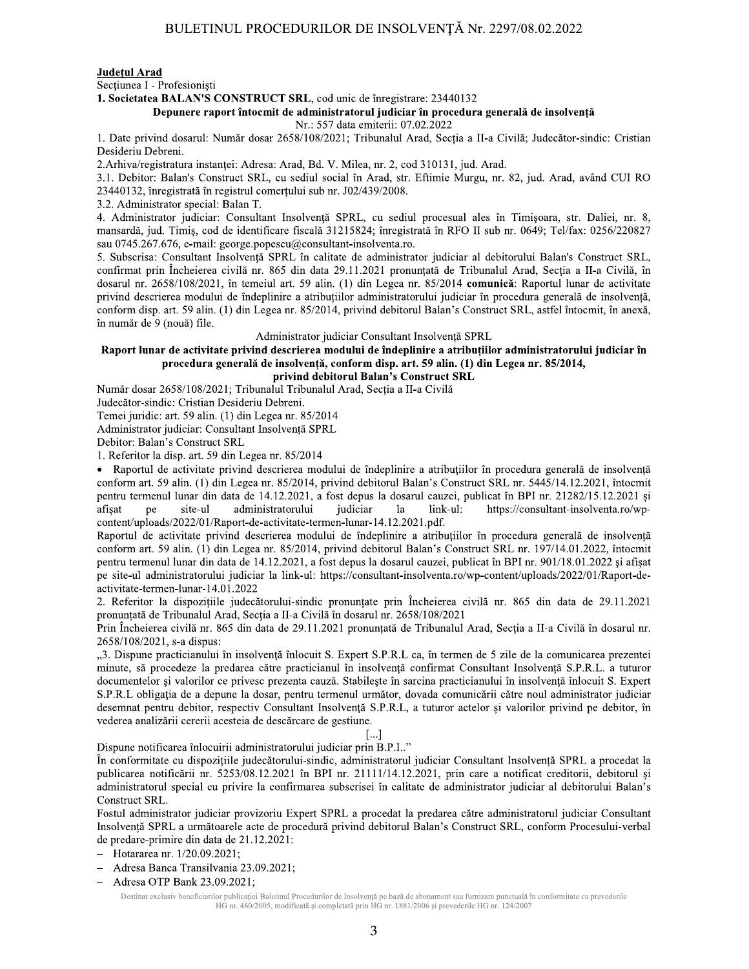#### Județul Arad

Sectiunea I - Profesioniști

1. Societatea BALAN'S CONSTRUCT SRL, cod unic de înregistrare: 23440132

#### Depunere raport întocmit de administratorul judiciar în procedura generală de insolvență

Nr.: 557 data emiterii: 07.02.2022

1. Date privind dosarul: Număr dosar 2658/108/2021; Tribunalul Arad, Secția a II-a Civilă; Judecător-sindic: Cristian Desideriu Debreni.

2. Arhiva/registratura instanței: Adresa: Arad, Bd. V. Milea, nr. 2, cod 310131, jud. Arad.

3.1. Debitor: Balan's Construct SRL, cu sediul social în Arad, str. Eftimie Murgu, nr. 82, jud. Arad, având CUI RO 23440132, înregistrată în registrul comertului sub nr. J02/439/2008.

3.2. Administrator special: Balan T.

4. Administrator judiciar: Consultant Insolvență SPRL, cu sediul procesual ales în Timișoara, str. Daliei, nr. 8, mansardă, jud. Timiș, cod de identificare fiscală 31215824; înregistrată în RFO II sub nr. 0649; Tel/fax: 0256/220827 sau 0745.267.676, e-mail: george.popescu@consultant-insolventa.ro.

5. Subscrisa: Consultant Insolvență SPRL în calitate de administrator judiciar al debitorului Balan's Construct SRL, confirmat prin Încheierea civilă nr. 865 din data 29.11.2021 pronunțată de Tribunalul Arad, Secția a II-a Civilă, în dosarul nr. 2658/108/2021, în temeiul art. 59 alin. (1) din Legea nr. 85/2014 comunică: Raportul lunar de activitate privind descrierea modului de îndeplinire a atribuțiilor administratorului judiciar în procedura generală de insolvență, conform disp. art. 59 alin. (1) din Legea nr. 85/2014, privind debitorul Balan's Construct SRL, astfel întocmit, în anexă, în număr de 9 (nouă) file.

Administrator judiciar Consultant Insolventă SPRL

# Raport lunar de activitate privind descrierea modului de îndeplinire a atribuțiilor administratorului judiciar în procedura generală de insolvență, conform disp. art. 59 alin. (1) din Legea nr. 85/2014,

privind debitorul Balan's Construct SRL Număr dosar 2658/108/2021; Tribunalul Tribunalul Arad, Secția a II-a Civilă

Judecător-sindic: Cristian Desideriu Debreni.

Temei juridic: art. 59 alin. (1) din Legea nr. 85/2014

Administrator judiciar: Consultant Insolvență SPRL

Debitor: Balan's Construct SRL

1. Referitor la disp. art. 59 din Legea nr. 85/2014

• Raportul de activitate privind descrierea modului de îndeplinire a atribuțiilor în procedura generală de insolvență conform art. 59 alin. (1) din Legea nr. 85/2014, privind debitorul Balan's Construct SRL nr. 5445/14.12.2021, întocmit pentru termenul lunar din data de 14.12.2021, a fost depus la dosarul cauzei, publicat în BPI nr. 21282/15.12.2021 și link-ul: afisat ne site-ul administratorului judiciar la https://consultant-insolventa.ro/wpcontent/uploads/2022/01/Raport-de-activitate-termen-lunar-14.12.2021.pdf.

Raportul de activitate privind descrierea modului de îndeplinire a atribuțiilor în procedura generală de insolvență conform art. 59 alin. (1) din Legea nr. 85/2014, privind debitorul Balan's Construct SRL nr. 197/14.01.2022, întocmit pentru termenul lunar din data de 14.12.2021, a fost depus la dosarul cauzei, publicat în BPI nr. 901/18.01.2022 si afisat pe site-ul administratorului judiciar la link-ul: https://consultant-insolventa.ro/wp-content/uploads/2022/01/Raport-deactivitate-termen-lunar-14.01.2022

2. Referitor la dispozițiile judecătorului-sindic pronunțate prin Încheierea civilă nr. 865 din data de 29.11.2021 pronunțată de Tribunalul Arad, Secția a II-a Civilă în dosarul nr. 2658/108/2021

Prin Încheierea civilă nr. 865 din data de 29.11.2021 pronunțată de Tribunalul Arad, Secția a II-a Civilă în dosarul nr. 2658/108/2021, s-a dispus:

"3. Dispune practicianului în insolvență înlocuit S. Expert S.P.R.L ca, în termen de 5 zile de la comunicarea prezentei minute, să procedeze la predarea către practicianul în insolvență confirmat Consultant Insolvență S.P.R.L. a tuturor documentelor și valorilor ce privesc prezenta cauză. Stabilește în sarcina practicianului în insolvență înlocuit S. Expert S.P.R.L obligația de a depune la dosar, pentru termenul următor, dovada comunicării către noul administrator judiciar desemnat pentru debitor, respectiv Consultant Insolvență S.P.R.L, a tuturor actelor și valorilor privind pe debitor, în vederea analizării cererii acesteia de descărcare de gestiune.

#### […]

Dispune notificarea înlocuirii administratorului judiciar prin B.P.I.."

În conformitate cu dispozițiile judecătorului-sindic, administratorul judiciar Consultant Insolvență SPRL a procedat la publicarea notificării nr. 5253/08.12.2021 în BPI nr. 2111/14.12.2021, prin care a notificat creditorii, debitorul și administratorul special cu privire la confirmarea subscrisei în calitate de administrator judiciar al debitorului Balan's Construct SRL.

Fostul administrator judiciar provizoriu Expert SPRL a procedat la predarea către administratorul judiciar Consultant Insolvență SPRL a următoarele acte de procedură privind debitorul Balan's Construct SRL, conform Procesului-verbal de predare-primire din data de 21.12.2021:

- Hotararea nr. 1/20.09.2021;
- Adresa Banca Transilvania 23.09.2021;  $\equiv$
- Adresa OTP Bank 23.09.2021;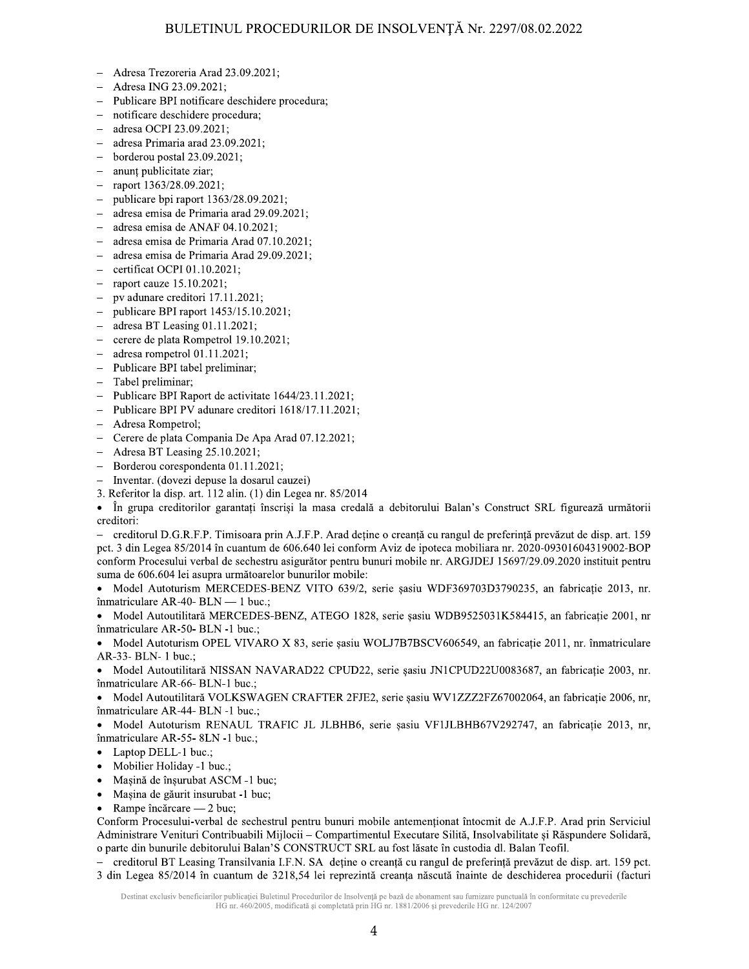- Adresa Trezoreria Arad 23.09.2021;  $\equiv$
- Adresa ING 23.09.2021;
- $\overline{a}$ Publicare BPI notificare deschidere procedura;
- notificare deschidere procedura;
- adresa OCPI 23.09.2021;
- adresa Primaria arad 23.09.2021;
- borderou postal 23.09.2021;  $\overline{a}$
- anunt publicitate ziar;  $\overline{a}$
- raport 1363/28.09.2021;  $\equiv$
- publicare bpi raport 1363/28.09.2021;  $\frac{1}{2}$
- adresa emisa de Primaria arad 29.09.2021;
- adresa emisa de ANAF 04.10.2021;
- adresa emisa de Primaria Arad 07.10.2021;  $\overline{\phantom{a}}$
- adresa emisa de Primaria Arad 29.09.2021;  $\overline{a}$
- certificat OCPI 01.10.2021;
- raport cauze 15.10.2021;
- pv adunare creditori 17.11.2021;
- publicare BPI raport 1453/15.10.2021;
- adresa BT Leasing 01.11.2021;  $\equiv$
- cerere de plata Rompetrol 19.10.2021;  $\equiv$
- adresa rompetrol 01.11.2021;  $\overline{a}$
- Publicare BPI tabel preliminar;  $\equiv$
- Tabel preliminar:
- Publicare BPI Raport de activitate 1644/23.11.2021;  $\overline{a}$
- Publicare BPI PV adunare creditori 1618/17.11.2021;  $\equiv$
- Adresa Rompetrol;
- Cerere de plata Compania De Apa Arad 07.12.2021;  $\frac{1}{2}$
- Adresa BT Leasing 25.10.2021;
- Borderou corespondenta 01.11.2021;  $\overline{\phantom{0}}$
- Inventar. (dovezi depuse la dosarul cauzei)
- 3. Referitor la disp. art. 112 alin. (1) din Legea nr. 85/2014

În grupa creditorilor garantati înscrisi la masa credală a debitorului Balan's Construct SRL figurează următorii  $\bullet$ creditori:

creditorul D.G.R.F.P. Timisoara prin A.J.F.P. Arad deține o creanță cu rangul de preferință prevăzut de disp. art. 159 pct. 3 din Legea 85/2014 în cuantum de 606.640 lei conform Aviz de ipoteca mobiliara nr. 2020-09301604319002-BOP conform Procesului verbal de sechestru asigurător pentru bunuri mobile nr. ARGJDEJ 15697/29.09.2020 instituit pentru suma de 606.604 lei asupra următoarelor bunurilor mobile:

Model Autoturism MERCEDES-BENZ VITO 639/2, serie sasiu WDF369703D3790235, an fabricatie 2013, nr.  $\bullet$ înmatriculare AR-40- BLN — 1 buc.;

Model Autoutilitară MERCEDES-BENZ, ATEGO 1828, serie șasiu WDB9525031K584415, an fabricație 2001, nr  $\bullet$ înmatriculare AR-50- BLN -1 buc.;

Model Autoturism OPEL VIVARO X 83, serie șasiu WOLJ7B7BSCV606549, an fabricație 2011, nr. înmatriculare  $\bullet$ AR-33- BLN- 1 buc.:

· Model Autoutilitară NISSAN NAVARAD22 CPUD22, serie șasiu JN1CPUD22U0083687, an fabricație 2003, nr. înmatriculare AR-66- BLN-1 buc.;

Model Autoutilitară VOLKSWAGEN CRAFTER 2FJE2, serie șasiu WV1ZZZ2FZ67002064, an fabricație 2006, nr, înmatriculare AR-44- BLN -1 buc.;

Model Autoturism RENAUL TRAFIC JL JLBHB6, serie sasiu VF1JLBHB67V292747, an fabricație 2013, nr, înmatriculare AR-55- 8LN -1 buc.;

- Laptop DELL-1 buc.;  $\bullet$
- $\bullet$ Mobilier Holiday -1 buc.;
- Mașină de înșurubat ASCM -1 buc;  $\bullet$
- Mașina de găurit insurubat -1 buc;  $\bullet$
- Rampe încărcare 2 buc;  $\bullet$

Conform Procesului-verbal de sechestrul pentru bunuri mobile antementionat întocmit de A.J.F.P. Arad prin Serviciul Administrare Venituri Contribuabili Mijlocii - Compartimentul Executare Silită, Insolvabilitate și Răspundere Solidară, o parte din bunurile debitorului Balan'S CONSTRUCT SRL au fost lăsate în custodia dl. Balan Teofil.

- creditorul BT Leasing Transilvania I.F.N. SA deține o creanță cu rangul de preferință prevăzut de disp. art. 159 pct. 3 din Legea 85/2014 în cuantum de 3218,54 lei reprezintă creanța născută înainte de deschiderea procedurii (facturi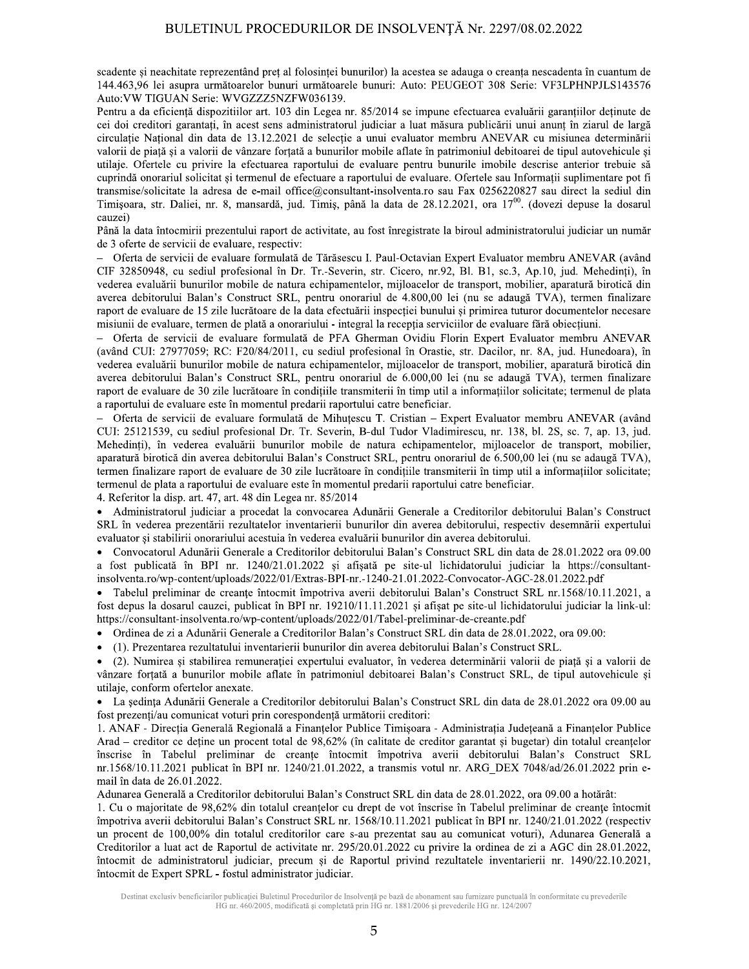scadente si neachitate reprezentând pret al folosinței bunurilor) la acestea se adauga o creanța nescadenta în cuantum de 144.463,96 lei asupra următoarelor bunuri următoarele bunuri: Auto: PEUGEOT 308 Serie: VF3LPHNPJLS143576 Auto: VW TIGUAN Serie: WVGZZZ5NZFW036139.

Pentru a da eficiență dispozitiilor art. 103 din Legea nr. 85/2014 se impune efectuarea evaluării garanțiilor deținute de cei doi creditori garantați, în acest sens administratorul judiciar a luat măsura publicării unui anunț în ziarul de largă circulație Național din data de 13.12.2021 de selecție a unui evaluator membru ANEVAR cu misiunea determinării valorii de piață și a valorii de vânzare forțată a bunurilor mobile aflate în patrimoniul debitoarei de tipul autovehicule și utilaje. Ofertele cu privire la efectuarea raportului de evaluare pentru bunurile imobile descrise anterior trebuie să cuprindă onorariul solicitat și termenul de efectuare a raportului de evaluare. Ofertele sau Informatii suplimentare pot fi transmise/solicitate la adresa de e-mail office@consultant-insolventa.ro sau Fax 0256220827 sau direct la sediul din Timișoara, str. Daliei, nr. 8, mansardă, jud. Timiș, până la data de 28.12.2021, ora 17<sup>00</sup>. (dovezi depuse la dosarul cauzei)

Până la data întocmirii prezentului raport de activitate, au fost înregistrate la biroul administratorului judiciar un număr de 3 oferte de servicii de evaluare, respectiv:

Oferta de servicii de evaluare formulată de Tărăsescu I. Paul-Octavian Expert Evaluator membru ANEVAR (având CIF 32850948, cu sediul profesional în Dr. Tr.-Severin, str. Cicero, nr.92, Bl. B1, sc.3, Ap.10, jud. Mehedinti), în vederea evaluării bunurilor mobile de natura echipamentelor, mijloacelor de transport, mobilier, aparatură birotică din averea debitorului Balan's Construct SRL, pentru onorariul de 4.800,00 lei (nu se adaugă TVA), termen finalizare raport de evaluare de 15 zile lucrătoare de la data efectuării inspecției bunului și primirea tuturor documentelor necesare misiunii de evaluare, termen de plată a onorariului - integral la recepția serviciilor de evaluare fără obiecțiuni.

- Oferta de servicii de evaluare formulată de PFA Gherman Ovidiu Florin Expert Evaluator membru ANEVAR (având CUI: 27977059; RC: F20/84/2011, cu sediul profesional în Orastie, str. Dacilor, nr. 8A, jud. Hunedoara), în vederea evaluării bunurilor mobile de natura echipamentelor, mijloacelor de transport, mobilier, aparatură birotică din averea debitorului Balan's Construct SRL, pentru onorariul de 6.000,00 lei (nu se adaugă TVA), termen finalizare raport de evaluare de 30 zile lucrătoare în condițiile transmiterii în timp util a informațiilor solicitate; termenul de plata a raportului de evaluare este în momentul predarii raportului catre beneficiar.

- Oferta de servicii de evaluare formulată de Mihuțescu T. Cristian - Expert Evaluator membru ANEVAR (având CUI: 25121539, cu sediul profesional Dr. Tr. Severin, B-dul Tudor Vladimirescu, nr. 138, bl. 2S, sc. 7, ap. 13, jud. Mehedinți), în vederea evaluării bunurilor mobile de natura echipamentelor, mijloacelor de transport, mobilier, aparatură birotică din averea debitorului Balan's Construct SRL, pentru onorariul de 6.500,00 lei (nu se adaugă TVA), termen finalizare raport de evaluare de 30 zile lucrătoare în condițiile transmiterii în timp util a informațiilor solicitate; termenul de plata a raportului de evaluare este în momentul predarii raportului catre beneficiar.

4. Referitor la disp. art. 47, art. 48 din Legea nr. 85/2014

Administratorul judiciar a procedat la convocarea Adunării Generale a Creditorilor debitorului Balan's Construct SRL în vederea prezentării rezultatelor inventarierii bunurilor din averea debitorului, respectiv desemnării expertului evaluator și stabilirii onorariului acestuia în vederea evaluării bunurilor din averea debitorului.

Convocatorul Adunării Generale a Creditorilor debitorului Balan's Construct SRL din data de 28.01.2022 ora 09.00  $\bullet$ a fost publicată în BPI nr. 1240/21.01.2022 și afișată pe site-ul lichidatorului judiciar la https://consultantinsolventa.ro/wp-content/uploads/2022/01/Extras-BPI-nr.-1240-21.01.2022-Convocator-AGC-28.01.2022.pdf

Tabelul preliminar de creanțe întocmit împotriva averii debitorului Balan's Construct SRL nr.1568/10.11.2021, a fost depus la dosarul cauzei, publicat în BPI nr. 19210/11.11.2021 și afișat pe site-ul lichidatorului judiciar la link-ul: https://consultant-insolventa.ro/wp-content/uploads/2022/01/Tabel-preliminar-de-creante.pdf

Ordinea de zi a Adunării Generale a Creditorilor Balan's Construct SRL din data de 28.01.2022, ora 09.00:

(1). Prezentarea rezultatului inventarierii bunurilor din averea debitorului Balan's Construct SRL.

(2). Numirea și stabilirea remunerației expertului evaluator, în vederea determinării valorii de piață și a valorii de vânzare forțată a bunurilor mobile aflate în patrimoniul debitoarei Balan's Construct SRL, de tipul autovehicule și utilaje, conform ofertelor anexate.

• La sedința Adunării Generale a Creditorilor debitorului Balan's Construct SRL din data de 28.01.2022 ora 09.00 au fost prezenți/au comunicat voturi prin corespondență următorii creditori:

1. ANAF - Direcția Generală Regională a Finanțelor Publice Timișoara - Administrația Județeană a Finanțelor Publice Arad – creditor ce deține un procent total de 98,62% (în calitate de creditor garantat și bugetar) din totalul creanțelor înscrise în Tabelul preliminar de creanțe întocmit împotriva averii debitorului Balan's Construct SRL nr.1568/10.11.2021 publicat în BPI nr. 1240/21.01.2022, a transmis votul nr. ARG DEX 7048/ad/26.01.2022 prin email în data de 26.01.2022.

Adunarea Generală a Creditorilor debitorului Balan's Construct SRL din data de 28.01.2022, ora 09.00 a hotărât:

1. Cu o majoritate de 98,62% din totalul creanțelor cu drept de vot înscrise în Tabelul preliminar de creanțe întocmit împotriva averii debitorului Balan's Construct SRL nr. 1568/10.11.2021 publicat în BPI nr. 1240/21.01.2022 (respectiv un procent de 100,00% din totalul creditorilor care s-au prezentat sau au comunicat voturi), Adunarea Generală a Creditorilor a luat act de Raportul de activitate nr. 295/20.01.2022 cu privire la ordinea de zi a AGC din 28.01.2022, întocmit de administratorul judiciar, precum și de Raportul privind rezultatele inventarierii nr. 1490/22.10.2021, întocmit de Expert SPRL - fostul administrator judiciar.

Destinat exclusiv beneficiarilor publicatiei Buletinul Procedurilor de Insolventă pe bază de abonament sau furnizare punctuală în conformitate cu prevederile HG nr. 460/2005, modificată și completată prin HG nr. 1881/2006 și prevederile HG nr. 124/2007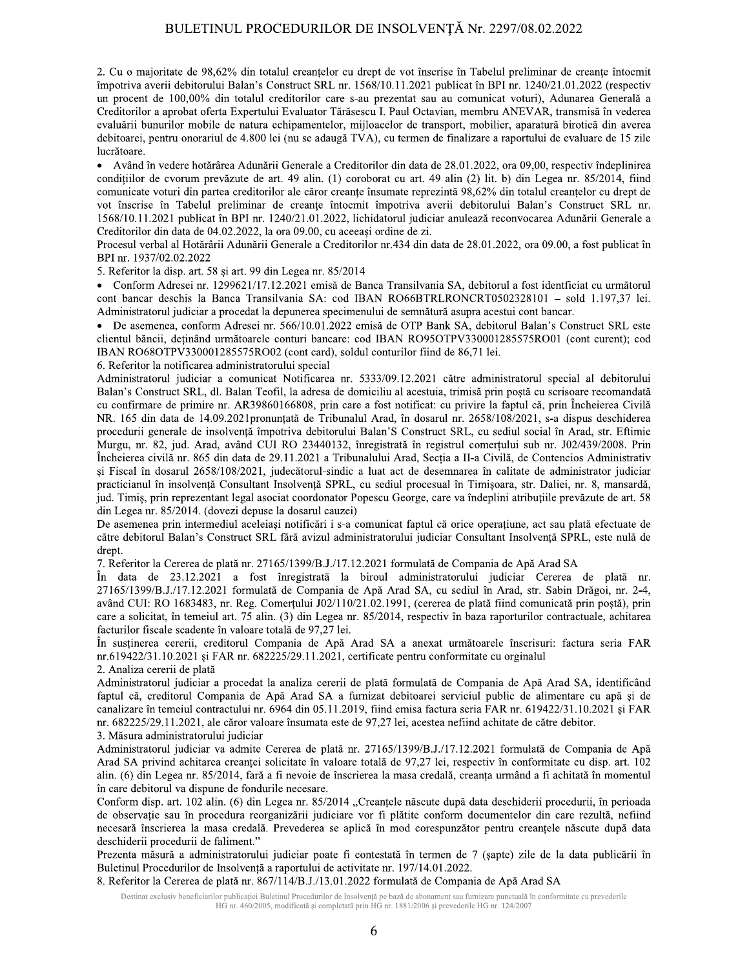2. Cu o majoritate de 98,62% din totalul creantelor cu drept de vot înscrise în Tabelul preliminar de creante întocmit împotriva averii debitorului Balan's Construct SRL nr. 1568/10.11.2021 publicat în BPI nr. 1240/21.01.2022 (respectiv un procent de 100,00% din totalul creditorilor care s-au prezentat sau au comunicat voturi), Adunarea Generală a Creditorilor a aprobat oferta Expertului Evaluator Tărăsescu I. Paul Octavian, membru ANEVAR, transmisă în vederea evaluării bunurilor mobile de natura echipamentelor, mijloacelor de transport, mobilier, aparatură birotică din averea debitoarei, pentru onorariul de 4.800 lei (nu se adaugă TVA), cu termen de finalizare a raportului de evaluare de 15 zile lucrătoare.

• Având în vedere hotărârea Adunării Generale a Creditorilor din data de 28.01.2022, ora 09,00, respectiv îndeplinirea conditiilor de cvorum prevăzute de art. 49 alin. (1) coroborat cu art. 49 alin (2) lit. b) din Legea nr. 85/2014, fiind comunicate voturi din partea creditorilor ale căror creanțe însumate reprezintă 98,62% din totalul creanțelor cu drept de vot înscrise în Tabelul preliminar de creanțe întocmit împotriva averii debitorului Balan's Construct SRL nr. 1568/10.11.2021 publicat în BPI nr. 1240/21.01.2022, lichidatorul judiciar anulează reconvocarea Adunării Generale a Creditorilor din data de 04.02.2022, la ora 09.00, cu aceeași ordine de zi.

Procesul verbal al Hotărârii Adunării Generale a Creditorilor nr.434 din data de 28.01.2022, ora 09.00, a fost publicat în BPI nr. 1937/02.02.2022

5. Referitor la disp. art. 58 si art. 99 din Legea nr. 85/2014

• Conform Adresei nr. 1299621/17.12.2021 emisă de Banca Transilvania SA, debitorul a fost identficiat cu următorul cont bancar deschis la Banca Transilvania SA: cod IBAN RO66BTRLRONCRT0502328101 - sold 1.197,37 lei. Administratorul judiciar a procedat la depunerea specimenului de semnătură asupra acestui cont bancar.

• De asemenea, conform Adresei nr. 566/10.01.2022 emisă de OTP Bank SA, debitorul Balan's Construct SRL este clientul băncii, deținând următoarele conturi bancare: cod IBAN RO95OTPV330001285575RO01 (cont curent); cod IBAN RO68OTPV330001285575RO02 (cont card), soldul conturilor fiind de 86.71 lei.

6. Referitor la notificarea administratorului special

Administratorul judiciar a comunicat Notificarea nr. 5333/09.12.2021 către administratorul special al debitorului Balan's Construct SRL, dl. Balan Teofil, la adresa de domiciliu al acestuia, trimisă prin poștă cu scrisoare recomandată cu confirmare de primire nr. AR39860166808, prin care a fost notificat: cu privire la faptul că, prin Încheierea Civilă NR. 165 din data de 14.09.2021 pronunțată de Tribunalul Arad, în dosarul nr. 2658/108/2021, s-a dispus deschiderea procedurii generale de insolvență împotriva debitorului Balan'S Construct SRL, cu sediul social în Arad, str. Eftimie Murgu, nr. 82, jud. Arad, având CUI RO 23440132, înregistrată în registrul comerțului sub nr. J02/439/2008. Prin Încheierea civilă nr. 865 din data de 29.11.2021 a Tribunalului Arad, Secția a II-a Civilă, de Contencios Administrativ și Fiscal în dosarul 2658/108/2021, judecătorul-sindic a luat act de desemnarea în calitate de administrator judiciar practicianul în insolvență Consultant Insolvență SPRL, cu sediul procesual în Timișoara, str. Daliei, nr. 8, mansardă, jud. Timis, prin reprezentant legal asociat coordonator Popescu George, care va îndeplini atribuțiile prevăzute de art. 58 din Legea nr. 85/2014. (dovezi depuse la dosarul cauzei)

De asemenea prin intermediul aceleiași notificări i s-a comunicat faptul că orice operațiune, act sau plată efectuate de către debitorul Balan's Construct SRL fără avizul administratorului judiciar Consultant Insolvență SPRL, este nulă de drept.

7. Referitor la Cererea de plată nr. 27165/1399/B.J./17.12.2021 formulată de Compania de Apă Arad SA

În data de 23.12.2021 a fost înregistrată la biroul administratorului judiciar Cererea de plată nr. 27165/1399/B.J./17.12.2021 formulată de Compania de Apă Arad SA, cu sediul în Arad, str. Sabin Drăgoi, nr. 2-4, având CUI: RO 1683483, nr. Reg. Comerțului J02/110/21.02.1991, (cererea de plată fiind comunicată prin poștă), prin care a solicitat, în temeiul art. 75 alin. (3) din Legea nr. 85/2014, respectiv în baza raporturilor contractuale, achitarea facturilor fiscale scadente în valoare totală de 97,27 lei.

În sustinerea cererii, creditorul Compania de Apă Arad SA a anexat următoarele înscrisuri: factura seria FAR  $nr.619422/31.10.2021$  si FAR nr.  $682225/29.11.2021$ , certificate pentru conformitate cu orginalul

2. Analiza cererii de plată

Administratorul judiciar a procedat la analiza cererii de plată formulată de Compania de Apă Arad SA, identificând faptul că, creditorul Compania de Apă Arad SA a furnizat debitoarei serviciul public de alimentare cu apă și de canalizare în temeiul contractului nr. 6964 din 05.11.2019, fiind emisa factura seria FAR nr. 619422/31.10.2021 și FAR nr. 682225/29.11.2021, ale căror valoare însumata este de 97.27 lei, acestea nefiind achitate de către debitor.

3. Măsura administratorului judiciar

Administratorul judiciar va admite Cererea de plată nr. 27165/1399/B.J./17.12.2021 formulată de Compania de Apă Arad SA privind achitarea creanței solicitate în valoare totală de 97,27 lei, respectiv în conformitate cu disp. art. 102 alin. (6) din Legea nr. 85/2014, fară a fi nevoie de înscrierea la masa credală, creanța urmând a fi achitată în momentul în care debitorul va dispune de fondurile necesare.

Conform disp. art. 102 alin. (6) din Legea nr. 85/2014 "Creanțele născute după data deschiderii procedurii, în perioada de observație sau în procedura reorganizării judiciare vor fi plătite conform documentelor din care rezultă, nefiind necesară înscrierea la masa credală. Prevederea se aplică în mod corespunzător pentru creanțele născute după data deschiderii procedurii de faliment."

Prezenta măsură a administratorului judiciar poate fi contestată în termen de 7 (șapte) zile de la data publicării în Buletinul Procedurilor de Insolvență a raportului de activitate nr. 197/14.01.2022.

8. Referitor la Cererea de plată nr. 867/114/B.J./13.01.2022 formulată de Compania de Apă Arad SA

Destinat exclusiv beneficiarilor publicației Buletinul Procedurilor de Insolvență pe bază de abonament sau furnizare punctuală în conformitate cu prevederile HG nr. 460/2005, modificată și completată prin HG nr. 1881/2006 și prevederile HG nr. 124/2007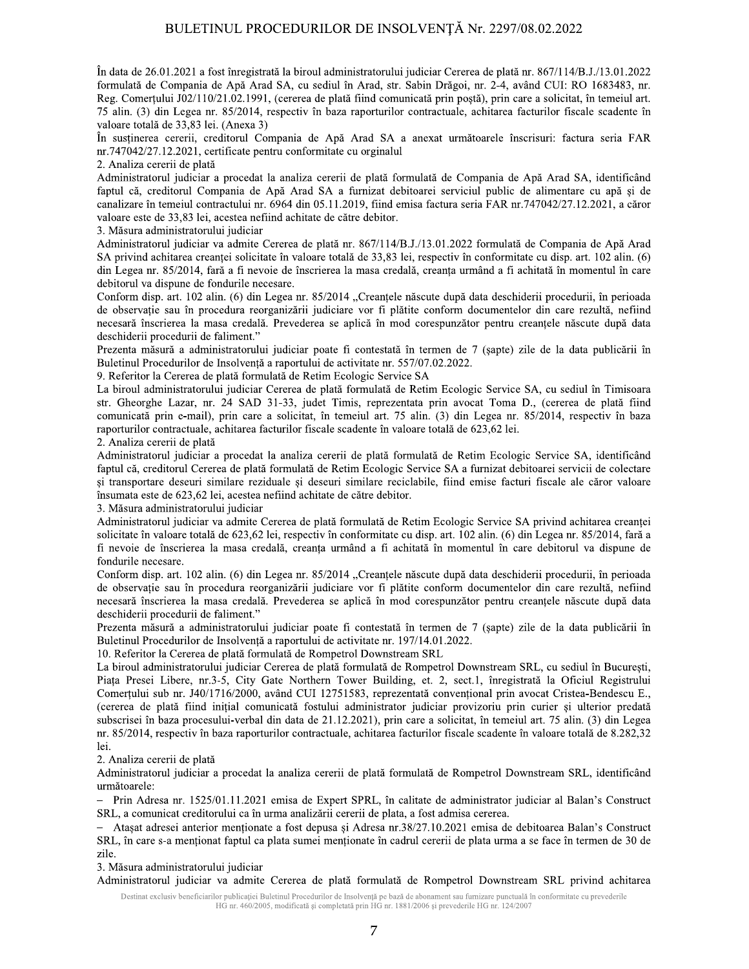In data de 26.01.2021 a fost înregistrată la biroul administratorului judiciar Cererea de plată nr. 867/114/B.J./13.01.2022 formulată de Compania de Apă Arad SA, cu sediul în Arad, str. Sabin Drăgoi, nr. 2-4, având CUI: RO 1683483, nr. Reg. Comerțului J02/110/21.02.1991, (cererea de plată fiind comunicată prin poștă), prin care a solicitat, în temeiul art. 75 alin. (3) din Legea nr. 85/2014, respectiv în baza raporturilor contractuale, achitarea facturilor fiscale scadente în valoare totală de 33,83 lei. (Anexa 3)

In susținerea cererii, creditorul Compania de Apă Arad SA a anexat următoarele înscrisuri: factura seria FAR nr.747042/27.12.2021, certificate pentru conformitate cu orginalul

2. Analiza cererii de plată

Administratorul judiciar a procedat la analiza cererii de plată formulată de Compania de Apă Arad SA, identificând faptul că, creditorul Compania de Apă Arad SA a furnizat debitoarei serviciul public de alimentare cu apă și de canalizare în temeiul contractului nr. 6964 din 05.11.2019, fiind emisa factura seria FAR nr.747042/27.12.2021, a căror valoare este de 33,83 lei, acestea nefiind achitate de către debitor.

3. Măsura administratorului judiciar

Administratorul judiciar va admite Cererea de plată nr. 867/114/B.J./13.01.2022 formulată de Compania de Apă Arad SA privind achitarea creanței solicitate în valoare totală de 33,83 lei, respectiv în conformitate cu disp. art. 102 alin. (6) din Legea nr. 85/2014, fară a fi nevoie de înscrierea la masa credală, creanța urmând a fi achitată în momentul în care debitorul va dispune de fondurile necesare.

Conform disp. art. 102 alin. (6) din Legea nr. 85/2014 "Creanțele născute după data deschiderii procedurii, în perioada de observație sau în procedura reorganizării judiciare vor fi plătite conform documentelor din care rezultă, nefiind necesară înscrierea la masa credală. Prevederea se aplică în mod corespunzător pentru creantele născute după data deschiderii procedurii de faliment."

Prezenta măsură a administratorului judiciar poate fi contestată în termen de 7 (șapte) zile de la data publicării în Buletinul Procedurilor de Insolvență a raportului de activitate nr. 557/07.02.2022.

9. Referitor la Cererea de plată formulată de Retim Ecologic Service SA

La biroul administratorului judiciar Cererea de plată formulată de Retim Ecologic Service SA, cu sediul în Timisoara str. Gheorghe Lazar, nr. 24 SAD 31-33, judet Timis, reprezentata prin avocat Toma D., (cererea de plată fiind comunicată prin e-mail), prin care a solicitat, în temeiul art. 75 alin. (3) din Legea nr. 85/2014, respectiv în baza raporturilor contractuale, achitarea facturilor fiscale scadente în valoare totală de 623,62 lei.

2. Analiza cererii de plată

Administratorul judiciar a procedat la analiza cererii de plată formulată de Retim Ecologic Service SA, identificând faptul că, creditorul Cererea de plată formulată de Retim Ecologic Service SA a furnizat debitoarei servicii de colectare si transportare deseuri similare reziduale și deseuri similare reciclabile, fiind emise facturi fiscale ale căror valoare însumata este de 623,62 lei, acestea nefiind achitate de către debitor.

3. Măsura administratorului judiciar

Administratorul judiciar va admite Cererea de plată formulată de Retim Ecologic Service SA privind achitarea creanței solicitate în valoare totală de 623,62 lei, respectiv în conformitate cu disp. art. 102 alin. (6) din Legea nr. 85/2014, fară a fi nevoie de înscrierea la masa credală, creanța urmând a fi achitată în momentul în care debitorul va dispune de fondurile necesare.

Conform disp. art. 102 alin. (6) din Legea nr. 85/2014 "Creantele născute după data deschiderii procedurii, în perioada de observatie sau în procedura reorganizării judiciare vor fi plătite conform documentelor din care rezultă, nefiind necesară înscrierea la masa credală. Prevederea se aplică în mod corespunzător pentru creantele născute după data deschiderii procedurii de faliment."

Prezenta măsură a administratorului judiciar poate fi contestată în termen de 7 (șapte) zile de la data publicării în Buletinul Procedurilor de Insolvență a raportului de activitate nr. 197/14.01.2022.

10. Referitor la Cererea de plată formulată de Rompetrol Downstream SRL

La biroul administratorului judiciar Cererea de plată formulată de Rompetrol Downstream SRL, cu sediul în București, Piața Presei Libere, nr.3-5, City Gate Northern Tower Building, et. 2, sect.1, înregistrată la Oficiul Registrului Comerțului sub nr. J40/1716/2000, având CUI 12751583, reprezentată convențional prin avocat Cristea-Bendescu E., (cererea de plată fiind inițial comunicată fostului administrator judiciar provizoriu prin curier și ulterior predată subscrisei în baza procesului-verbal din data de 21.12.2021), prin care a solicitat, în temeiul art. 75 alin. (3) din Legea nr. 85/2014, respectiv în baza raporturilor contractuale, achitarea facturilor fiscale scadente în valoare totală de 8.282,32 lei.

2. Analiza cererii de plată

Administratorul judiciar a procedat la analiza cererii de plată formulată de Rompetrol Downstream SRL, identificând următoarele:

Prin Adresa nr. 1525/01.11.2021 emisa de Expert SPRL, în calitate de administrator judiciar al Balan's Construct SRL, a comunicat creditorului ca în urma analizării cererii de plata, a fost admisa cererea.

- Ataşat adresei anterior menționate a fost depusa și Adresa nr.38/27.10.2021 emisa de debitoarea Balan's Construct SRL, în care s-a menționat faptul ca plata sumei menționate în cadrul cererii de plata urma a se face în termen de 30 de zile.

3. Măsura administratorului judiciar

Administratorul judiciar va admite Cererea de plată formulată de Rompetrol Downstream SRL privind achitarea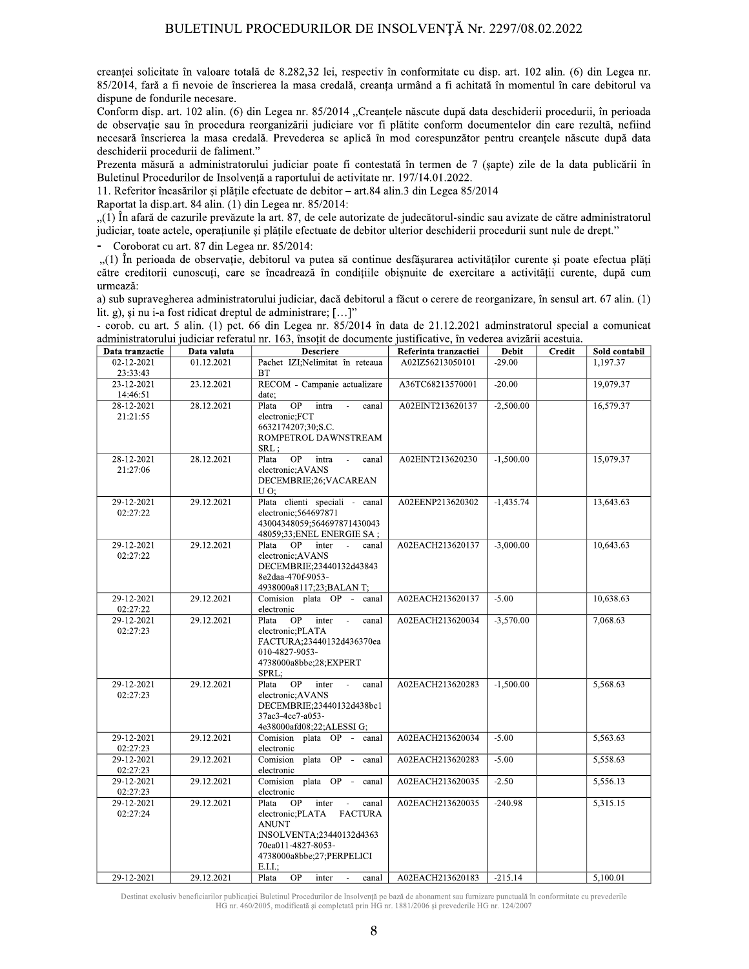creantei solicitate în valoare totală de 8.282,32 lei, respectiv în conformitate cu disp. art. 102 alin. (6) din Legea nr. 85/2014, fară a fi nevoie de înscrierea la masa credală, creanța urmând a fi achitată în momentul în care debitorul va dispune de fondurile necesare.

Conform disp. art. 102 alin. (6) din Legea nr. 85/2014 "Creanțele născute după data deschiderii procedurii, în perioada de observație sau în procedura reorganizării judiciare vor fi plătite conform documentelor din care rezultă, nefiind necesară înscrierea la masa credală. Prevederea se aplică în mod corespunzător pentru creantele născute după data deschiderii procedurii de faliment."

Prezenta măsură a administratorului judiciar poate fi contestată în termen de 7 (sapte) zile de la data publicării în Buletinul Procedurilor de Insolventă a raportului de activitate nr. 197/14.01.2022.

11. Referitor încasărilor și plătile efectuate de debitor – art.84 alin.3 din Legea 85/2014

Raportat la disp.art. 84 alin. (1) din Legea nr. 85/2014:

"(1) În afară de cazurile prevăzute la art. 87, de cele autorizate de judecătorul-sindic sau avizate de către administratorul judiciar, toate actele, operatiunile și plățile efectuate de debitor ulterior deschiderii procedurii sunt nule de drept."

- Coroborat cu art. 87 din Legea nr. 85/2014:

"(1) În perioada de observație, debitorul va putea să continue desfășurarea activităților curente și poate efectua plăți către creditorii cunoscuți, care se încadrează în condițiile obișnuite de exercitare a activității curente, după cum urmează:

a) sub supravegherea administratorului judiciar, dacă debitorul a făcut o cerere de reorganizare, în sensul art. 67 alin. (1) lit. g), si nu i-a fost ridicat dreptul de administrare; [...]"

- corob. cu art. 5 alin. (1) pct. 66 din Legea nr. 85/2014 în data de 21.12.2021 adminstratorul special a comunicat administratorului judiciar referatul nr. 163, însoțit de documente justificative, în vederea avizării acestuia.

| Data tranzactie | Data valuta | aammisiratoi arai jaarena Terenatai m. 109, msojn ae aocamente jasimtaarve, m vetenea avizami aecstana.<br><b>Descriere</b> | Referinta tranzactiei | <b>Debit</b> | <b>Credit</b> | Sold contabil |
|-----------------|-------------|-----------------------------------------------------------------------------------------------------------------------------|-----------------------|--------------|---------------|---------------|
| 02-12-2021      | 01.12.2021  | Pachet IZI;Nelimitat în reteaua                                                                                             | A02IZ56213050101      | $-29.00$     |               | 1.197.37      |
| 23:33:43        |             | <b>BT</b>                                                                                                                   |                       |              |               |               |
| 23-12-2021      | 23.12.2021  | RECOM - Campanie actualizare                                                                                                | A36TC68213570001      | $-20.00$     |               | 19,079.37     |
| 14:46:51        |             | date;                                                                                                                       |                       |              |               |               |
| 28-12-2021      | 28.12.2021  | Plata<br>OP<br>intra<br>canal                                                                                               | A02EINT213620137      | $-2,500.00$  |               | 16,579.37     |
| 21:21:55        |             | electronic;FCT                                                                                                              |                       |              |               |               |
|                 |             | 6632174207;30;S.C.                                                                                                          |                       |              |               |               |
|                 |             | ROMPETROL DAWNSTREAM                                                                                                        |                       |              |               |               |
|                 |             | SRL,                                                                                                                        |                       |              |               |               |
| 28-12-2021      | 28.12.2021  | OP intra -<br>Plata<br>canal                                                                                                | A02EINT213620230      | $-1,500.00$  |               | 15,079.37     |
| 21:27:06        |             | electronic; AVANS                                                                                                           |                       |              |               |               |
|                 |             | DECEMBRIE;26;VACAREAN                                                                                                       |                       |              |               |               |
|                 |             | U O:                                                                                                                        |                       |              |               |               |
| 29-12-2021      | 29.12.2021  | Plata clienti speciali - canal                                                                                              | A02EENP213620302      | $-1,435.74$  |               | 13,643.63     |
| 02:27:22        |             | electronic; 564697871                                                                                                       |                       |              |               |               |
|                 |             | 43004348059;564697871430043                                                                                                 |                       |              |               |               |
|                 |             | 48059;33;ENEL ENERGIE SA;                                                                                                   |                       |              |               |               |
| 29-12-2021      | 29.12.2021  | Plata<br>OP inter -<br>canal                                                                                                | A02EACH213620137      | $-3,000.00$  |               | 10,643.63     |
| 02:27:22        |             | electronic; AVANS                                                                                                           |                       |              |               |               |
|                 |             | DECEMBRIE;23440132d43843                                                                                                    |                       |              |               |               |
|                 |             | 8e2daa-470f-9053-                                                                                                           |                       |              |               |               |
|                 |             | 4938000a8117;23;BALAN T;                                                                                                    |                       |              |               |               |
| 29-12-2021      | 29.12.2021  | Comision plata OP - canal                                                                                                   | A02EACH213620137      | $-5.00$      |               | 10,638.63     |
| 02:27:22        |             | electronic                                                                                                                  |                       |              |               |               |
| 29-12-2021      | 29.12.2021  | $OP$ inter -<br>Plata<br>canal                                                                                              | A02EACH213620034      | $-3,570.00$  |               | 7,068.63      |
| 02:27:23        |             | electronic;PLATA                                                                                                            |                       |              |               |               |
|                 |             | FACTURA;23440132d436370ea<br>010-4827-9053-                                                                                 |                       |              |               |               |
|                 |             | 4738000a8bbe;28;EXPERT                                                                                                      |                       |              |               |               |
|                 |             | SPRL:                                                                                                                       |                       |              |               |               |
| 29-12-2021      | 29.12.2021  | $OP$ inter -<br>Plata<br>canal                                                                                              | A02EACH213620283      | $-1,500.00$  |               | 5,568.63      |
| 02:27:23        |             | electronic; AVANS                                                                                                           |                       |              |               |               |
|                 |             | DECEMBRIE:23440132d438bc1                                                                                                   |                       |              |               |               |
|                 |             | 37ac3-4cc7-a053-                                                                                                            |                       |              |               |               |
|                 |             | 4e38000afd08;22;ALESSI G;                                                                                                   |                       |              |               |               |
| 29-12-2021      | 29.12.2021  | Comision plata OP - canal                                                                                                   | A02EACH213620034      | $-5.00$      |               | 5.563.63      |
| 02:27:23        |             | electronic                                                                                                                  |                       |              |               |               |
| 29-12-2021      | 29.12.2021  | Comision plata OP - canal                                                                                                   | A02EACH213620283      | $-5.00$      |               | 5,558.63      |
| 02:27:23        |             | electronic                                                                                                                  |                       |              |               |               |
| 29-12-2021      | 29.12.2021  | Comision plata OP - canal                                                                                                   | A02EACH213620035      | $-2.50$      |               | 5,556.13      |
| 02:27:23        |             | electronic                                                                                                                  |                       |              |               |               |
| 29-12-2021      | 29.12.2021  | Plata OP<br>inter -<br>canal                                                                                                | A02EACH213620035      | $-240.98$    |               | 5,315.15      |
| 02:27:24        |             | electronic; PLATA FACTURA                                                                                                   |                       |              |               |               |
|                 |             | <b>ANUNT</b>                                                                                                                |                       |              |               |               |
|                 |             | INSOLVENTA:23440132d4363                                                                                                    |                       |              |               |               |
|                 |             | 70ea011-4827-8053-                                                                                                          |                       |              |               |               |
|                 |             | 4738000a8bbe;27;PERPELICI                                                                                                   |                       |              |               |               |
|                 |             | E.I.I                                                                                                                       |                       |              |               |               |
| 29-12-2021      | 29.12.2021  | Plata<br>OP —<br>inter -<br>canal                                                                                           | A02EACH213620183      | $-215.14$    |               | 5,100.01      |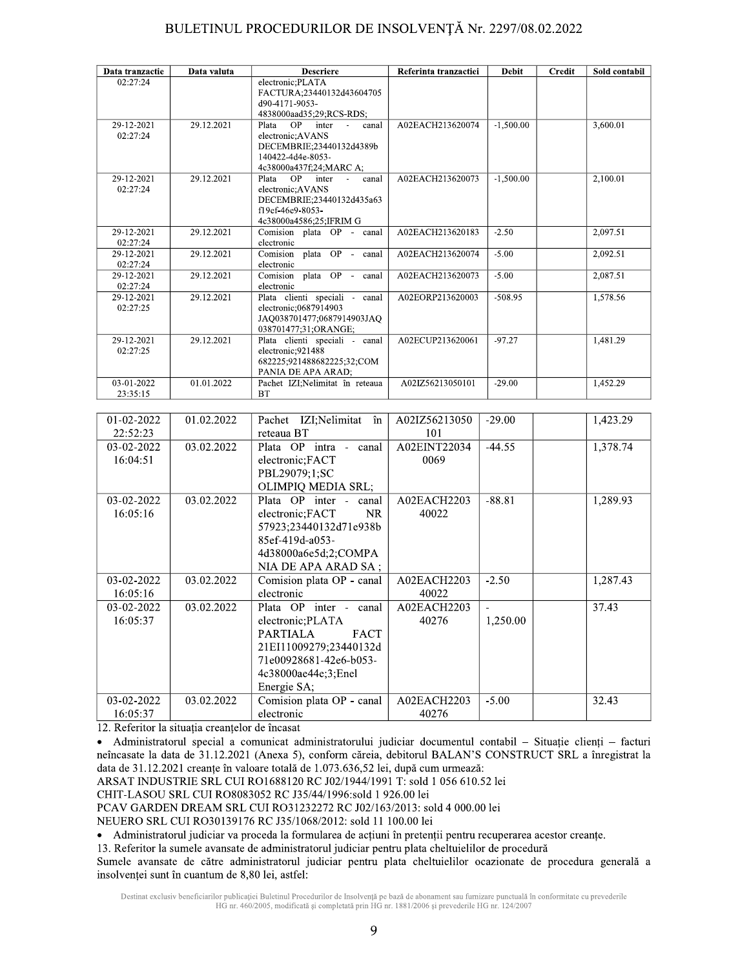| Data tranzactie        | Data valuta | <b>Descriere</b>                                    | Referinta tranzactiei           | <b>Debit</b>                | <b>Credit</b> | Sold contabil |
|------------------------|-------------|-----------------------------------------------------|---------------------------------|-----------------------------|---------------|---------------|
| 02:27:24               |             | electronic; PLATA                                   |                                 |                             |               |               |
|                        |             | FACTURA;23440132d43604705<br>d90-4171-9053-         |                                 |                             |               |               |
|                        |             | 4838000aad35;29;RCS-RDS;                            |                                 |                             |               |               |
| 29-12-2021             | 29.12.2021  | Plata OP<br>inter<br>$\sim$ $-$<br>canal            | A02EACH213620074<br>$-1,500.00$ |                             |               | 3,600.01      |
| 02:27:24               |             | electronic; AVANS                                   |                                 |                             |               |               |
|                        |             | DECEMBRIE;23440132d4389b<br>140422-4d4e-8053-       |                                 |                             |               |               |
|                        |             | 4c38000a437f;24;MARC A;                             |                                 |                             |               |               |
| 29-12-2021             | 29.12.2021  | <b>OP</b><br>Plata<br>inter -<br>canal              | A02EACH213620073                | $-1,500.00$                 |               | 2,100.01      |
| 02:27:24               |             | electronic; AVANS                                   |                                 |                             |               |               |
|                        |             | DECEMBRIE;23440132d435a63<br>f19ef-46e9-8053-       |                                 |                             |               |               |
|                        |             | 4c38000a4586;25;IFRIM G                             |                                 |                             |               |               |
| 29-12-2021             | 29.12.2021  | Comision plata OP - canal                           | A02EACH213620183                | $-2.50$<br>2,097.51         |               |               |
| 02:27:24               |             | electronic                                          |                                 |                             |               |               |
| 29-12-2021<br>02:27:24 | 29.12.2021  | Comision plata OP - canal<br>electronic             |                                 | A02EACH213620074<br>$-5.00$ |               | 2,092.51      |
| 29-12-2021             | 29.12.2021  | Comision plata OP - canal                           | A02EACH213620073                | $-5.00$                     |               | 2,087.51      |
| 02:27:24               |             | electronic                                          |                                 |                             |               |               |
| 29-12-2021             | 29.12.2021  | Plata clienti speciali - canal                      | A02EORP213620003                | $-508.95$                   |               | 1,578.56      |
| 02:27:25               |             | electronic;0687914903<br>JAQ038701477;0687914903JAQ |                                 |                             |               |               |
|                        |             | 038701477;31;ORANGE;                                |                                 |                             |               |               |
| 29-12-2021             | 29.12.2021  | Plata clienti speciali - canal                      | A02ECUP213620061                | $-97.27$                    |               | 1,481.29      |
| 02:27:25               |             | electronic;921488                                   |                                 |                             |               |               |
|                        |             | 682225;921488682225;32;COM<br>PANIA DE APA ARAD;    |                                 |                             |               |               |
| 03-01-2022             | 01.01.2022  | Pachet IZI;Nelimitat în reteaua                     | A02IZ56213050101                | $-29.00$                    |               | 1,452.29      |
| 23:35:15               |             | <b>BT</b>                                           |                                 |                             |               |               |
|                        |             |                                                     |                                 |                             |               |               |
| 01-02-2022             | 01.02.2022  | Pachet IZI;Nelimitat în                             | A02IZ56213050                   | $-29.00$                    |               | 1,423.29      |
| 22:52:23               |             | reteaua BT                                          | 101                             |                             |               |               |
| 03-02-2022             | 03.02.2022  | Plata OP intra - canal                              | A02EINT22034                    | $-44.55$                    |               | 1,378.74      |
| 16:04:51               |             | electronic;FACT                                     | 0069                            |                             |               |               |
|                        |             | PBL29079;1;SC                                       |                                 |                             |               |               |
|                        |             | OLIMPIQ MEDIA SRL;                                  |                                 |                             |               |               |
| 03-02-2022             | 03.02.2022  | Plata OP inter - canal                              | A02EACH2203                     | $-88.81$                    |               | 1,289.93      |
| 16:05:16               |             | electronic;FACT<br><b>NR</b>                        | 40022                           |                             |               |               |
|                        |             | 57923;23440132d71e938b                              |                                 |                             |               |               |
|                        |             | 85ef-419d-a053-                                     |                                 |                             |               |               |
|                        |             | 4d38000a6e5d;2;COMPA<br>NIA DE APA ARAD SA;         |                                 |                             |               |               |
| 03-02-2022             | 03.02.2022  | Comision plata OP - canal                           | A02EACH2203                     | $-2.50$                     |               | 1,287.43      |
| 16:05:16               |             | electronic                                          | 40022                           |                             |               |               |
| 03-02-2022             | 03.02.2022  | Plata OP inter - canal                              | A02EACH2203                     |                             |               | 37.43         |
| 16:05:37               |             | electronic; PLATA                                   | 40276                           | 1,250.00                    |               |               |
|                        |             | <b>PARTIALA</b><br><b>FACT</b>                      |                                 |                             |               |               |
|                        |             | 21EI11009279;23440132d                              |                                 |                             |               |               |
|                        |             | 71e00928681-42e6-b053-                              |                                 |                             |               |               |
|                        |             | 4c38000ae44e;3;Enel                                 |                                 |                             |               |               |
|                        |             | Energie SA;                                         |                                 |                             |               |               |
| 03-02-2022             | 03.02.2022  | Comision plata OP - canal                           | A02EACH2203                     | $-5.00$                     |               | 32.43         |
| 16:05:37               |             | electronic                                          | 40276                           |                             |               |               |

12. Referitor la situația creanțelor de încasat

· Administratorul special a comunicat administratorului judiciar documentul contabil - Situație clienți - facturi neîncasate la data de 31.12.2021 (Anexa 5), conform căreia, debitorul BALAN'S CONSTRUCT SRL a înregistrat la data de 31.12.2021 creanțe în valoare totală de 1.073.636,52 lei, după cum urmează:

ARSAT INDUSTRIE SRL CUI RO1688120 RC J02/1944/1991 T: sold 1 056 610.52 lei

CHIT-LASOU SRL CUI RO8083052 RC J35/44/1996:sold 1 926.00 lei

PCAV GARDEN DREAM SRL CUI RO31232272 RC J02/163/2013: sold 4 000.00 lei

NEUERO SRL CUI RO30139176 RC J35/1068/2012: sold 11 100.00 lei

· Administratorul judiciar va proceda la formularea de acțiuni în pretenții pentru recuperarea acestor creanțe.

13. Referitor la sumele avansate de administratorul judiciar pentru plata cheltuielilor de procedură

Sumele avansate de către administratorul judiciar pentru plata cheltuielilor ocazionate de procedura generală a insolvenței sunt în cuantum de 8,80 lei, astfel: